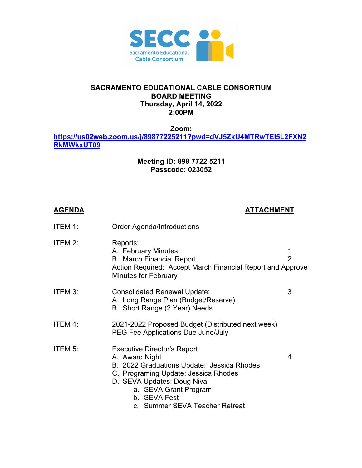

## **SACRAMENTO EDUCATIONAL CABLE CONSORTIUM BOARD MEETING Thursday, April 14, 2022 2:00PM**

**Zoom:**

**https://us02web.zoom.us/j/89877225211?pwd=dVJ5ZkU4MTRwTEI5L2FXN2 RkMWkxUT09**

## **Meeting ID: 898 7722 5211 Passcode: 023052**

## **AGENDA ATTACHMENT**

| ITEM 1: | <b>Order Agenda/Introductions</b>                                                                                                                                                                                                                   |                     |
|---------|-----------------------------------------------------------------------------------------------------------------------------------------------------------------------------------------------------------------------------------------------------|---------------------|
| ITEM 2: | Reports:<br>A. February Minutes<br><b>B. March Financial Report</b><br>Action Required: Accept March Financial Report and Approve<br><b>Minutes for February</b>                                                                                    | 1<br>$\overline{2}$ |
| ITEM 3: | <b>Consolidated Renewal Update:</b><br>A. Long Range Plan (Budget/Reserve)<br>B. Short Range (2 Year) Needs                                                                                                                                         | 3                   |
| ITEM 4: | 2021-2022 Proposed Budget (Distributed next week)<br>PEG Fee Applications Due June/July                                                                                                                                                             |                     |
| ITEM 5: | <b>Executive Director's Report</b><br>A. Award Night<br>B. 2022 Graduations Update: Jessica Rhodes<br>C. Programing Update: Jessica Rhodes<br>D. SEVA Updates: Doug Niva<br>a. SEVA Grant Program<br>b. SEVA Fest<br>c. Summer SEVA Teacher Retreat | 4                   |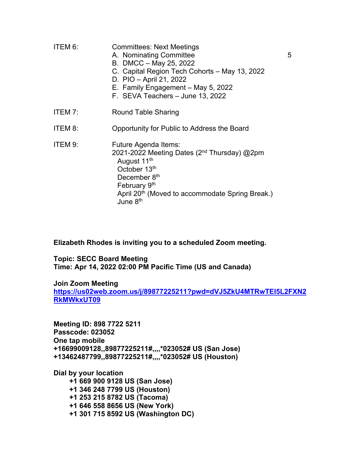| ITEM 6: | <b>Committees: Next Meetings</b><br>A. Nominating Committee<br>B. DMCC - May 25, 2022<br>C. Capital Region Tech Cohorts - May 13, 2022<br>D. PIO - April 21, 2022<br>E. Family Engagement - May 5, 2022<br>F. SEVA Teachers - June 13, 2022       | 5 |
|---------|---------------------------------------------------------------------------------------------------------------------------------------------------------------------------------------------------------------------------------------------------|---|
| ITEM 7: | Round Table Sharing                                                                                                                                                                                                                               |   |
| ITEM 8: | Opportunity for Public to Address the Board                                                                                                                                                                                                       |   |
| ITEM 9: | Future Agenda Items:<br>2021-2022 Meeting Dates (2 <sup>nd</sup> Thursday) @2pm<br>August 11 <sup>th</sup><br>October 13th<br>December 8th<br>February 9th<br>April 20 <sup>th</sup> (Moved to accommodate Spring Break.)<br>June 8 <sup>th</sup> |   |

**Elizabeth Rhodes is inviting you to a scheduled Zoom meeting.**

**Topic: SECC Board Meeting Time: Apr 14, 2022 02:00 PM Pacific Time (US and Canada)**

**Join Zoom Meeting https://us02web.zoom.us/j/89877225211?pwd=dVJ5ZkU4MTRwTEI5L2FXN2 RkMWkxUT09**

**Meeting ID: 898 7722 5211 Passcode: 023052 One tap mobile +16699009128,,89877225211#,,,,\*023052# US (San Jose) +13462487799,,89877225211#,,,,\*023052# US (Houston)**

**Dial by your location +1 669 900 9128 US (San Jose)**

> **+1 346 248 7799 US (Houston) +1 253 215 8782 US (Tacoma) +1 646 558 8656 US (New York) +1 301 715 8592 US (Washington DC)**